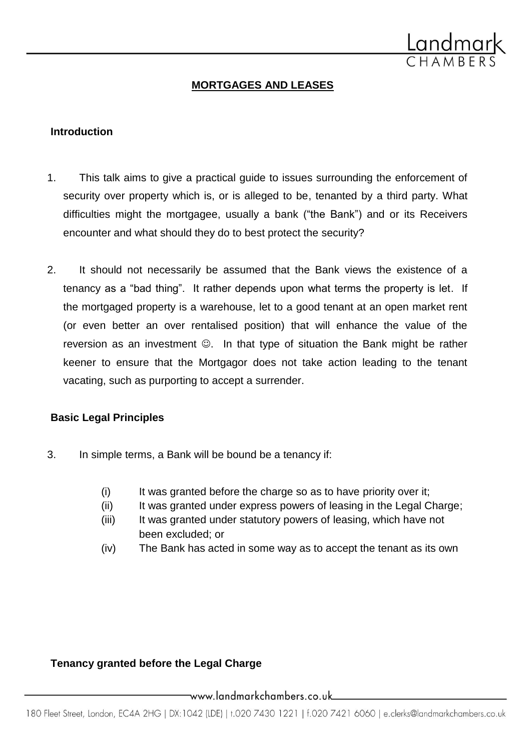

# **MORTGAGES AND LEASES**

#### **Introduction**

- 1. This talk aims to give a practical guide to issues surrounding the enforcement of security over property which is, or is alleged to be, tenanted by a third party. What difficulties might the mortgagee, usually a bank ("the Bank") and or its Receivers encounter and what should they do to best protect the security?
- 2. It should not necessarily be assumed that the Bank views the existence of a tenancy as a "bad thing". It rather depends upon what terms the property is let. If the mortgaged property is a warehouse, let to a good tenant at an open market rent (or even better an over rentalised position) that will enhance the value of the reversion as an investment  $\odot$ . In that type of situation the Bank might be rather keener to ensure that the Mortgagor does not take action leading to the tenant vacating, such as purporting to accept a surrender.

#### **Basic Legal Principles**

- 3. In simple terms, a Bank will be bound be a tenancy if:
	- (i) It was granted before the charge so as to have priority over it;
	- (ii) It was granted under express powers of leasing in the Legal Charge;
	- (iii) It was granted under statutory powers of leasing, which have not been excluded; or
	- (iv) The Bank has acted in some way as to accept the tenant as its own

## **Tenancy granted before the Legal Charge**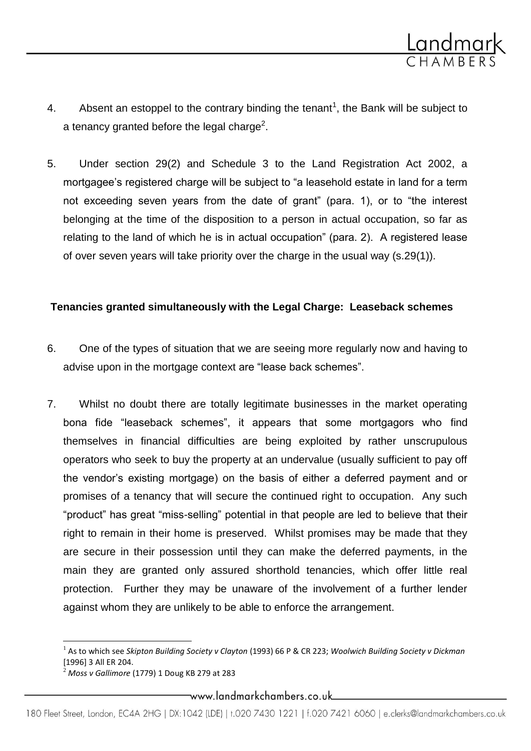

- 4. Absent an estoppel to the contrary binding the tenant<sup>1</sup>, the Bank will be subject to a tenancy granted before the legal charge<sup>2</sup>.
- 5. Under section 29(2) and Schedule 3 to the Land Registration Act 2002, a mortgagee's registered charge will be subject to "a leasehold estate in land for a term not exceeding seven years from the date of grant" (para. 1), or to "the interest belonging at the time of the disposition to a person in actual occupation, so far as relating to the land of which he is in actual occupation" (para. 2). A registered lease of over seven years will take priority over the charge in the usual way (s.29(1)).

### **Tenancies granted simultaneously with the Legal Charge: Leaseback schemes**

- 6. One of the types of situation that we are seeing more regularly now and having to advise upon in the mortgage context are "lease back schemes".
- 7. Whilst no doubt there are totally legitimate businesses in the market operating bona fide "leaseback schemes", it appears that some mortgagors who find themselves in financial difficulties are being exploited by rather unscrupulous operators who seek to buy the property at an undervalue (usually sufficient to pay off the vendor's existing mortgage) on the basis of either a deferred payment and or promises of a tenancy that will secure the continued right to occupation. Any such "product" has great "miss-selling" potential in that people are led to believe that their right to remain in their home is preserved. Whilst promises may be made that they are secure in their possession until they can make the deferred payments, in the main they are granted only assured shorthold tenancies, which offer little real protection. Further they may be unaware of the involvement of a further lender against whom they are unlikely to be able to enforce the arrangement.

 $\overline{\phantom{a}}$ 

<sup>1</sup> As to which see *Skipton Building Society v Clayton* (1993) 66 P & CR 223; *Woolwich Building Society v Dickman* [1996] 3 All ER 204.

<sup>2</sup> *Moss v Gallimore* (1779) 1 Doug KB 279 at 283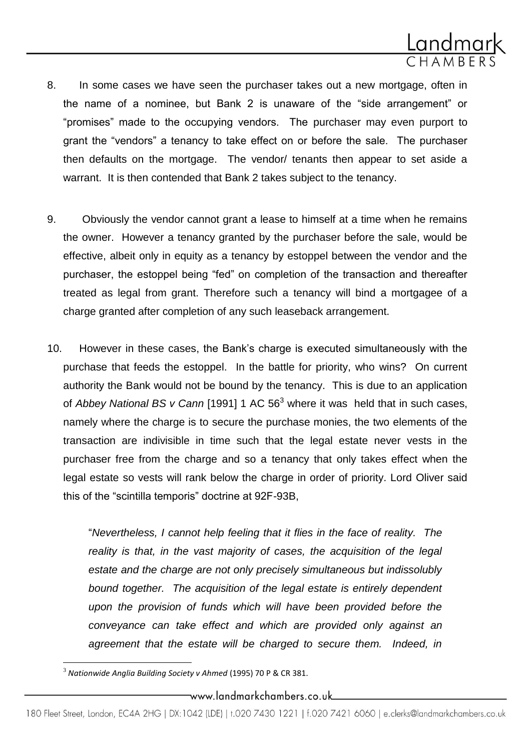

- 8. In some cases we have seen the purchaser takes out a new mortgage, often in the name of a nominee, but Bank 2 is unaware of the "side arrangement" or "promises" made to the occupying vendors. The purchaser may even purport to grant the "vendors" a tenancy to take effect on or before the sale. The purchaser then defaults on the mortgage. The vendor/ tenants then appear to set aside a warrant. It is then contended that Bank 2 takes subject to the tenancy.
- 9. Obviously the vendor cannot grant a lease to himself at a time when he remains the owner. However a tenancy granted by the purchaser before the sale, would be effective, albeit only in equity as a tenancy by estoppel between the vendor and the purchaser, the estoppel being "fed" on completion of the transaction and thereafter treated as legal from grant. Therefore such a tenancy will bind a mortgagee of a charge granted after completion of any such leaseback arrangement.
- 10. However in these cases, the Bank's charge is executed simultaneously with the purchase that feeds the estoppel. In the battle for priority, who wins? On current authority the Bank would not be bound by the tenancy. This is due to an application of *Abbey National BS v Cann* [1991] 1 AC 56<sup>3</sup> where it was held that in such cases, namely where the charge is to secure the purchase monies, the two elements of the transaction are indivisible in time such that the legal estate never vests in the purchaser free from the charge and so a tenancy that only takes effect when the legal estate so vests will rank below the charge in order of priority. Lord Oliver said this of the "scintilla temporis" doctrine at 92F-93B,

"*Nevertheless, I cannot help feeling that it flies in the face of reality. The reality is that, in the vast majority of cases, the acquisition of the legal estate and the charge are not only precisely simultaneous but indissolubly bound together. The acquisition of the legal estate is entirely dependent upon the provision of funds which will have been provided before the conveyance can take effect and which are provided only against an agreement that the estate will be charged to secure them. Indeed, in* 

 $\overline{\phantom{a}}$ 

<sup>3</sup> *Nationwide Anglia Building Society v Ahmed* (1995) 70 P & CR 381.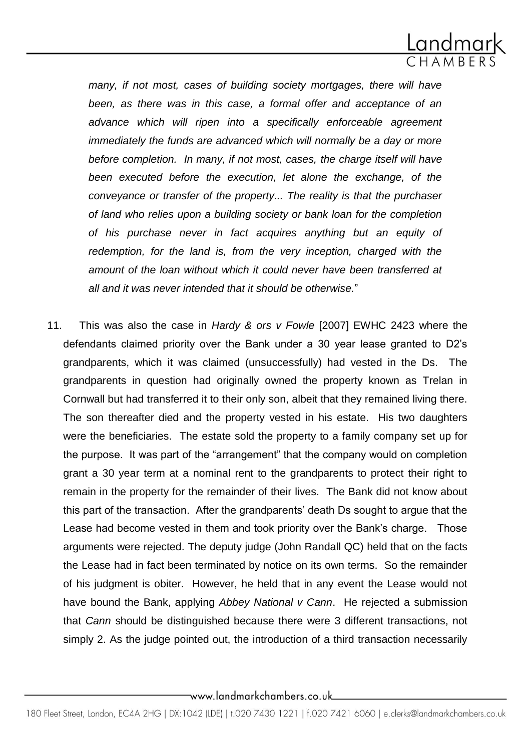

many, if not most, cases of building society mortgages, there will have *been, as there was in this case, a formal offer and acceptance of an advance which will ripen into a specifically enforceable agreement immediately the funds are advanced which will normally be a day or more before completion. In many, if not most, cases, the charge itself will have been executed before the execution, let alone the exchange, of the conveyance or transfer of the property... The reality is that the purchaser of land who relies upon a building society or bank loan for the completion of his purchase never in fact acquires anything but an equity of redemption, for the land is, from the very inception, charged with the amount of the loan without which it could never have been transferred at all and it was never intended that it should be otherwise.*"

11. This was also the case in *Hardy & ors v Fowle* [2007] EWHC 2423 where the defendants claimed priority over the Bank under a 30 year lease granted to D2's grandparents, which it was claimed (unsuccessfully) had vested in the Ds. The grandparents in question had originally owned the property known as Trelan in Cornwall but had transferred it to their only son, albeit that they remained living there. The son thereafter died and the property vested in his estate. His two daughters were the beneficiaries. The estate sold the property to a family company set up for the purpose. It was part of the "arrangement" that the company would on completion grant a 30 year term at a nominal rent to the grandparents to protect their right to remain in the property for the remainder of their lives. The Bank did not know about this part of the transaction. After the grandparents' death Ds sought to argue that the Lease had become vested in them and took priority over the Bank's charge. Those arguments were rejected. The deputy judge (John Randall QC) held that on the facts the Lease had in fact been terminated by notice on its own terms. So the remainder of his judgment is obiter. However, he held that in any event the Lease would not have bound the Bank, applying *Abbey National v Cann*. He rejected a submission that *Cann* should be distinguished because there were 3 different transactions, not simply 2. As the judge pointed out, the introduction of a third transaction necessarily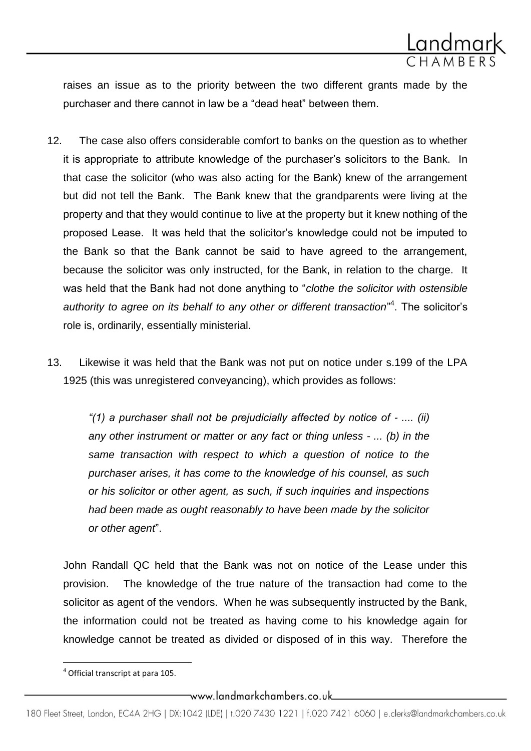

raises an issue as to the priority between the two different grants made by the purchaser and there cannot in law be a "dead heat" between them.

- 12. The case also offers considerable comfort to banks on the question as to whether it is appropriate to attribute knowledge of the purchaser's solicitors to the Bank. In that case the solicitor (who was also acting for the Bank) knew of the arrangement but did not tell the Bank. The Bank knew that the grandparents were living at the property and that they would continue to live at the property but it knew nothing of the proposed Lease. It was held that the solicitor's knowledge could not be imputed to the Bank so that the Bank cannot be said to have agreed to the arrangement, because the solicitor was only instructed, for the Bank, in relation to the charge. It was held that the Bank had not done anything to "*clothe the solicitor with ostensible authority to agree on its behalf to any other or different transaction*" 4 . The solicitor's role is, ordinarily, essentially ministerial.
- 13. Likewise it was held that the Bank was not put on notice under s.199 of the LPA 1925 (this was unregistered conveyancing), which provides as follows:

*"(1) a purchaser shall not be prejudicially affected by notice of - .... (ii) any other instrument or matter or any fact or thing unless - ... (b) in the same transaction with respect to which a question of notice to the purchaser arises, it has come to the knowledge of his counsel, as such or his solicitor or other agent, as such, if such inquiries and inspections had been made as ought reasonably to have been made by the solicitor or other agent*".

John Randall QC held that the Bank was not on notice of the Lease under this provision. The knowledge of the true nature of the transaction had come to the solicitor as agent of the vendors. When he was subsequently instructed by the Bank, the information could not be treated as having come to his knowledge again for knowledge cannot be treated as divided or disposed of in this way. Therefore the

 $\overline{\phantom{a}}$ 

<sup>4</sup> Official transcript at para 105.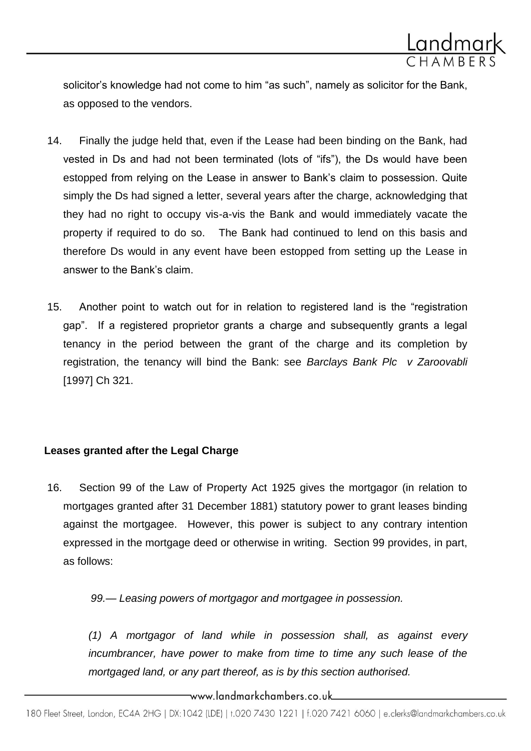

solicitor's knowledge had not come to him "as such", namely as solicitor for the Bank, as opposed to the vendors.

- 14. Finally the judge held that, even if the Lease had been binding on the Bank, had vested in Ds and had not been terminated (lots of "ifs"), the Ds would have been estopped from relying on the Lease in answer to Bank's claim to possession. Quite simply the Ds had signed a letter, several years after the charge, acknowledging that they had no right to occupy vis-a-vis the Bank and would immediately vacate the property if required to do so. The Bank had continued to lend on this basis and therefore Ds would in any event have been estopped from setting up the Lease in answer to the Bank's claim.
- 15. Another point to watch out for in relation to registered land is the "registration gap". If a registered proprietor grants a charge and subsequently grants a legal tenancy in the period between the grant of the charge and its completion by registration, the tenancy will bind the Bank: see *Barclays Bank Plc v Zaroovabli* [1997] Ch 321.

## **Leases granted after the Legal Charge**

16. Section 99 of the Law of Property Act 1925 gives the mortgagor (in relation to mortgages granted after 31 December 1881) statutory power to grant leases binding against the mortgagee. However, this power is subject to any contrary intention expressed in the mortgage deed or otherwise in writing. Section 99 provides, in part, as follows:

*99.— Leasing powers of mortgagor and mortgagee in possession.*

*(1) A mortgagor of land while in possession shall, as against every incumbrancer, have power to make from time to time any such lease of the mortgaged land, or any part thereof, as is by this section authorised.*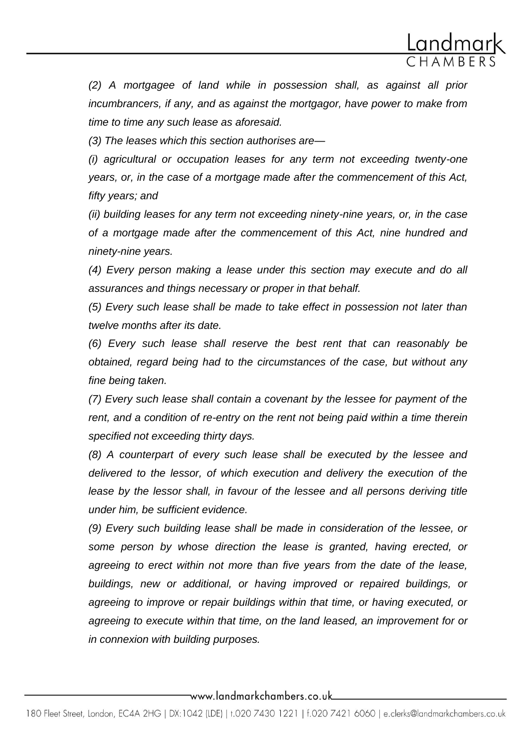

*(2) A mortgagee of land while in possession shall, as against all prior incumbrancers, if any, and as against the mortgagor, have power to make from time to time any such lease as aforesaid.*

*(3) The leases which this section authorises are—*

*(i) agricultural or occupation leases for any term not exceeding twenty-one years, or, in the case of a mortgage made after the commencement of this Act, fifty years; and*

*(ii) building leases for any term not exceeding ninety-nine years, or, in the case of a mortgage made after the commencement of this Act, nine hundred and ninety-nine years.*

*(4) Every person making a lease under this section may execute and do all assurances and things necessary or proper in that behalf.*

*(5) Every such lease shall be made to take effect in possession not later than twelve months after its date.*

*(6) Every such lease shall reserve the best rent that can reasonably be obtained, regard being had to the circumstances of the case, but without any fine being taken.*

*(7) Every such lease shall contain a covenant by the lessee for payment of the rent, and a condition of re-entry on the rent not being paid within a time therein specified not exceeding thirty days.*

*(8) A counterpart of every such lease shall be executed by the lessee and delivered to the lessor, of which execution and delivery the execution of the lease by the lessor shall, in favour of the lessee and all persons deriving title under him, be sufficient evidence.*

*(9) Every such building lease shall be made in consideration of the lessee, or some person by whose direction the lease is granted, having erected, or agreeing to erect within not more than five years from the date of the lease, buildings, new or additional, or having improved or repaired buildings, or agreeing to improve or repair buildings within that time, or having executed, or agreeing to execute within that time, on the land leased, an improvement for or in connexion with building purposes.*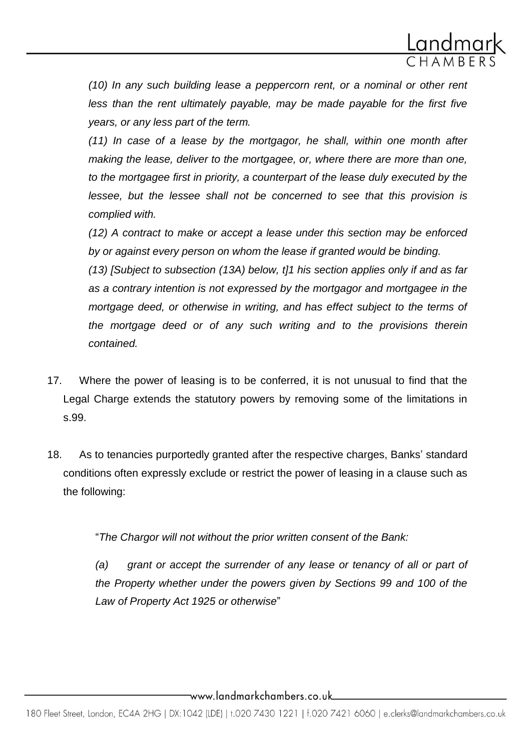

*(10) In any such building lease a peppercorn rent, or a nominal or other rent less than the rent ultimately payable, may be made payable for the first five years, or any less part of the term.*

*(11) In case of a lease by the mortgagor, he shall, within one month after making the lease, deliver to the mortgagee, or, where there are more than one, to the mortgagee first in priority, a counterpart of the lease duly executed by the lessee, but the lessee shall not be concerned to see that this provision is complied with.*

*(12) A contract to make or accept a lease under this section may be enforced by or against every person on whom the lease if granted would be binding.*

*(13) [Subject to subsection (13A) below, t]1 his section applies only if and as far as a contrary intention is not expressed by the mortgagor and mortgagee in the mortgage deed, or otherwise in writing, and has effect subject to the terms of the mortgage deed or of any such writing and to the provisions therein contained.* 

- 17. Where the power of leasing is to be conferred, it is not unusual to find that the Legal Charge extends the statutory powers by removing some of the limitations in s.99.
- 18. As to tenancies purportedly granted after the respective charges, Banks' standard conditions often expressly exclude or restrict the power of leasing in a clause such as the following:

"*The Chargor will not without the prior written consent of the Bank:*

*(a) grant or accept the surrender of any lease or tenancy of all or part of the Property whether under the powers given by Sections 99 and 100 of the Law of Property Act 1925 or otherwise*"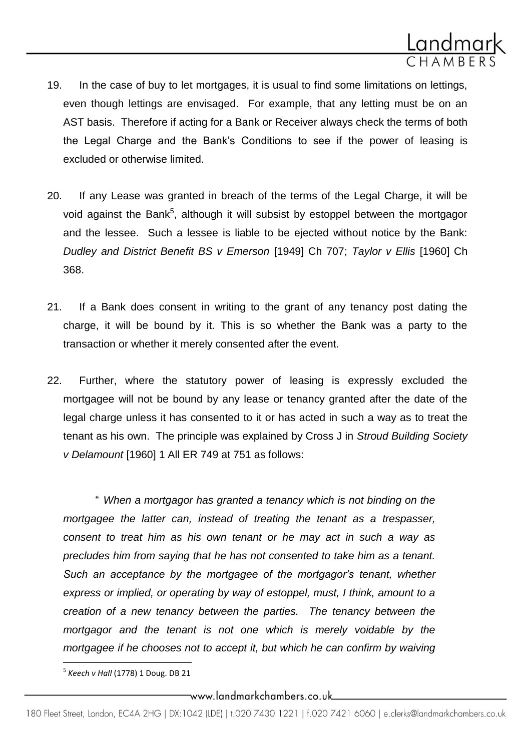

- 19. In the case of buy to let mortgages, it is usual to find some limitations on lettings, even though lettings are envisaged. For example, that any letting must be on an AST basis. Therefore if acting for a Bank or Receiver always check the terms of both the Legal Charge and the Bank's Conditions to see if the power of leasing is excluded or otherwise limited.
- 20. If any Lease was granted in breach of the terms of the Legal Charge, it will be void against the Bank<sup>5</sup>, although it will subsist by estoppel between the mortgagor and the lessee. Such a lessee is liable to be ejected without notice by the Bank: *Dudley and District Benefit BS v Emerson* [1949] Ch 707; *Taylor v Ellis* [1960] Ch 368.
- 21. If a Bank does consent in writing to the grant of any tenancy post dating the charge, it will be bound by it. This is so whether the Bank was a party to the transaction or whether it merely consented after the event.
- 22. Further, where the statutory power of leasing is expressly excluded the mortgagee will not be bound by any lease or tenancy granted after the date of the legal charge unless it has consented to it or has acted in such a way as to treat the tenant as his own. The principle was explained by Cross J in *Stroud Building Society v Delamount* [1960] 1 All ER 749 at 751 as follows:

" *When a mortgagor has granted a tenancy which is not binding on the mortgagee the latter can, instead of treating the tenant as a trespasser, consent to treat him as his own tenant or he may act in such a way as precludes him from saying that he has not consented to take him as a tenant. Such an acceptance by the mortgagee of the mortgagor's tenant, whether express or implied, or operating by way of estoppel, must, I think, amount to a creation of a new tenancy between the parties. The tenancy between the mortgagor and the tenant is not one which is merely voidable by the mortgagee if he chooses not to accept it, but which he can confirm by waiving* 

 $\overline{\phantom{a}}$ 

<sup>5</sup> *Keech v Hall* (1778) 1 Doug. DB 21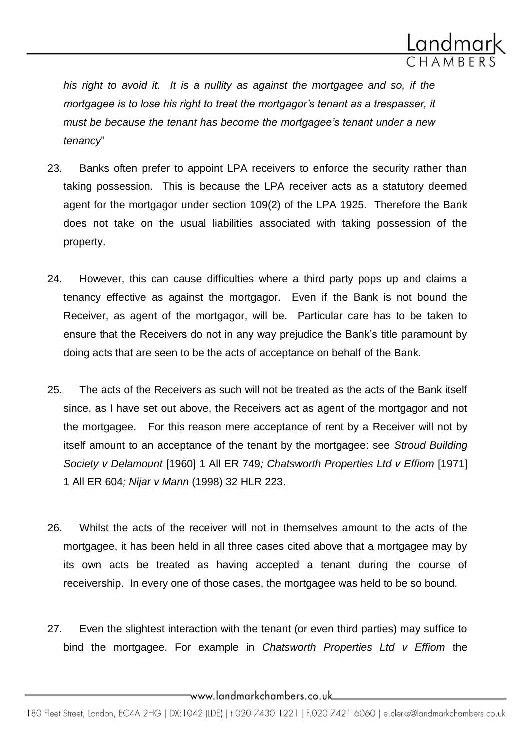

*his right to avoid it. It is a nullity as against the mortgagee and so, if the mortgagee is to lose his right to treat the mortgagor's tenant as a trespasser, it must be because the tenant has become the mortgagee's tenant under a new tenancy*"

- 23. Banks often prefer to appoint LPA receivers to enforce the security rather than taking possession. This is because the LPA receiver acts as a statutory deemed agent for the mortgagor under section 109(2) of the LPA 1925. Therefore the Bank does not take on the usual liabilities associated with taking possession of the property.
- 24. However, this can cause difficulties where a third party pops up and claims a tenancy effective as against the mortgagor. Even if the Bank is not bound the Receiver, as agent of the mortgagor, will be. Particular care has to be taken to ensure that the Receivers do not in any way prejudice the Bank's title paramount by doing acts that are seen to be the acts of acceptance on behalf of the Bank.
- 25. The acts of the Receivers as such will not be treated as the acts of the Bank itself since, as I have set out above, the Receivers act as agent of the mortgagor and not the mortgagee. For this reason mere acceptance of rent by a Receiver will not by itself amount to an acceptance of the tenant by the mortgagee: see *Stroud Building Society v Delamount* [1960] 1 All ER 749*; Chatsworth Properties Ltd v Effiom* [1971] 1 All ER 604*; Nijar v Mann* (1998) 32 HLR 223.
- 26. Whilst the acts of the receiver will not in themselves amount to the acts of the mortgagee, it has been held in all three cases cited above that a mortgagee may by its own acts be treated as having accepted a tenant during the course of receivership. In every one of those cases, the mortgagee was held to be so bound.
- 27. Even the slightest interaction with the tenant (or even third parties) may suffice to bind the mortgagee. For example in *Chatsworth Properties Ltd v Effiom* the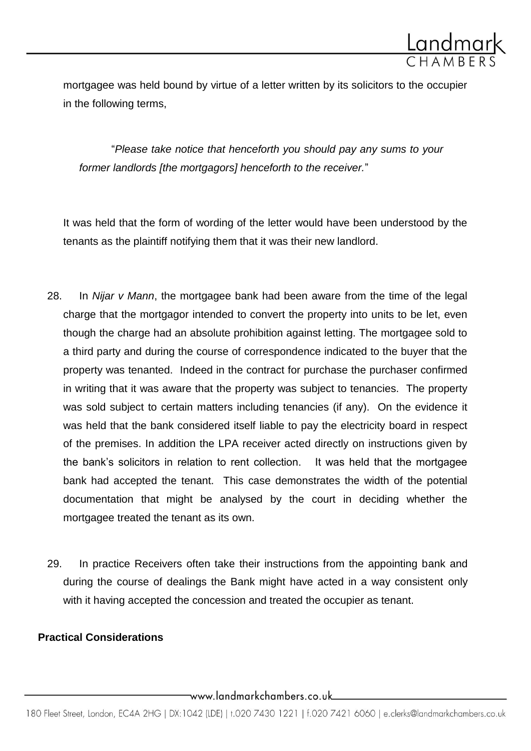

mortgagee was held bound by virtue of a letter written by its solicitors to the occupier in the following terms,

"*Please take notice that henceforth you should pay any sums to your former landlords [the mortgagors] henceforth to the receiver.*"

It was held that the form of wording of the letter would have been understood by the tenants as the plaintiff notifying them that it was their new landlord.

- 28. In *Nijar v Mann*, the mortgagee bank had been aware from the time of the legal charge that the mortgagor intended to convert the property into units to be let, even though the charge had an absolute prohibition against letting. The mortgagee sold to a third party and during the course of correspondence indicated to the buyer that the property was tenanted. Indeed in the contract for purchase the purchaser confirmed in writing that it was aware that the property was subject to tenancies. The property was sold subject to certain matters including tenancies (if any). On the evidence it was held that the bank considered itself liable to pay the electricity board in respect of the premises. In addition the LPA receiver acted directly on instructions given by the bank's solicitors in relation to rent collection. It was held that the mortgagee bank had accepted the tenant. This case demonstrates the width of the potential documentation that might be analysed by the court in deciding whether the mortgagee treated the tenant as its own.
- 29. In practice Receivers often take their instructions from the appointing bank and during the course of dealings the Bank might have acted in a way consistent only with it having accepted the concession and treated the occupier as tenant.

## **Practical Considerations**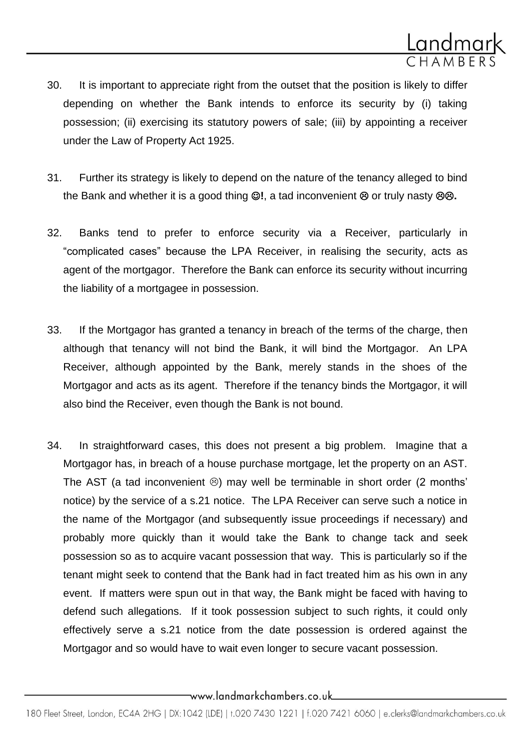

- 30. It is important to appreciate right from the outset that the position is likely to differ depending on whether the Bank intends to enforce its security by (i) taking possession; (ii) exercising its statutory powers of sale; (iii) by appointing a receiver under the Law of Property Act 1925.
- 31. Further its strategy is likely to depend on the nature of the tenancy alleged to bind the Bank and whether it is a good thing  $\mathbb{O}!$ , a tad inconvenient  $\mathbb{O}$  or truly nasty  $\mathbb{O}\mathbb{O}$ .
- 32. Banks tend to prefer to enforce security via a Receiver, particularly in "complicated cases" because the LPA Receiver, in realising the security, acts as agent of the mortgagor. Therefore the Bank can enforce its security without incurring the liability of a mortgagee in possession.
- 33. If the Mortgagor has granted a tenancy in breach of the terms of the charge, then although that tenancy will not bind the Bank, it will bind the Mortgagor. An LPA Receiver, although appointed by the Bank, merely stands in the shoes of the Mortgagor and acts as its agent. Therefore if the tenancy binds the Mortgagor, it will also bind the Receiver, even though the Bank is not bound.
- 34. In straightforward cases, this does not present a big problem. Imagine that a Mortgagor has, in breach of a house purchase mortgage, let the property on an AST. The AST (a tad inconvenient  $\circledcirc$ ) may well be terminable in short order (2 months' notice) by the service of a s.21 notice. The LPA Receiver can serve such a notice in the name of the Mortgagor (and subsequently issue proceedings if necessary) and probably more quickly than it would take the Bank to change tack and seek possession so as to acquire vacant possession that way. This is particularly so if the tenant might seek to contend that the Bank had in fact treated him as his own in any event. If matters were spun out in that way, the Bank might be faced with having to defend such allegations. If it took possession subject to such rights, it could only effectively serve a s.21 notice from the date possession is ordered against the Mortgagor and so would have to wait even longer to secure vacant possession.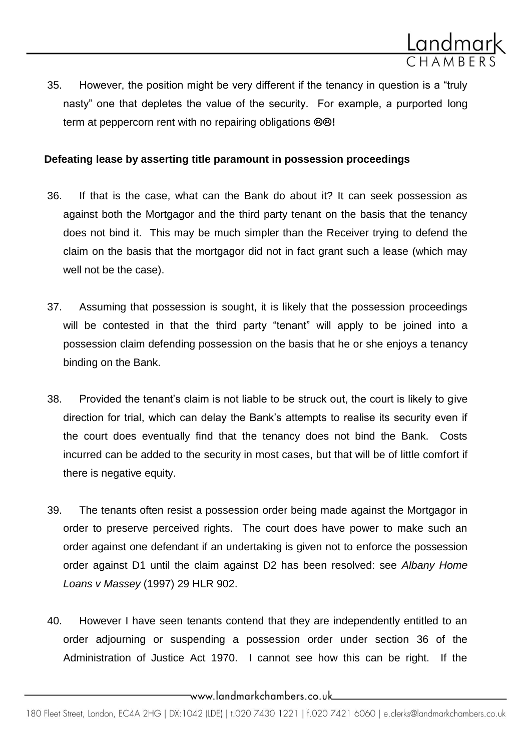

35. However, the position might be very different if the tenancy in question is a "truly nasty" one that depletes the value of the security. For example, a purported long term at peppercorn rent with no repairing obligations  $\otimes \otimes!$ 

### **Defeating lease by asserting title paramount in possession proceedings**

- 36. If that is the case, what can the Bank do about it? It can seek possession as against both the Mortgagor and the third party tenant on the basis that the tenancy does not bind it. This may be much simpler than the Receiver trying to defend the claim on the basis that the mortgagor did not in fact grant such a lease (which may well not be the case).
- 37. Assuming that possession is sought, it is likely that the possession proceedings will be contested in that the third party "tenant" will apply to be joined into a possession claim defending possession on the basis that he or she enjoys a tenancy binding on the Bank.
- 38. Provided the tenant's claim is not liable to be struck out, the court is likely to give direction for trial, which can delay the Bank's attempts to realise its security even if the court does eventually find that the tenancy does not bind the Bank. Costs incurred can be added to the security in most cases, but that will be of little comfort if there is negative equity.
- 39. The tenants often resist a possession order being made against the Mortgagor in order to preserve perceived rights. The court does have power to make such an order against one defendant if an undertaking is given not to enforce the possession order against D1 until the claim against D2 has been resolved: see *Albany Home Loans v Massey* (1997) 29 HLR 902.
- 40. However I have seen tenants contend that they are independently entitled to an order adjourning or suspending a possession order under section 36 of the Administration of Justice Act 1970. I cannot see how this can be right. If the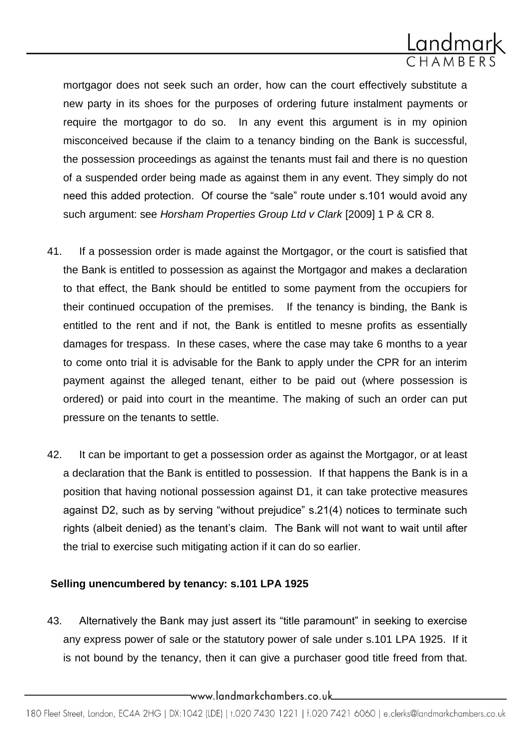

mortgagor does not seek such an order, how can the court effectively substitute a new party in its shoes for the purposes of ordering future instalment payments or require the mortgagor to do so. In any event this argument is in my opinion misconceived because if the claim to a tenancy binding on the Bank is successful, the possession proceedings as against the tenants must fail and there is no question of a suspended order being made as against them in any event. They simply do not need this added protection. Of course the "sale" route under s.101 would avoid any such argument: see *Horsham Properties Group Ltd v Clark* [2009] 1 P & CR 8.

- 41. If a possession order is made against the Mortgagor, or the court is satisfied that the Bank is entitled to possession as against the Mortgagor and makes a declaration to that effect, the Bank should be entitled to some payment from the occupiers for their continued occupation of the premises. If the tenancy is binding, the Bank is entitled to the rent and if not, the Bank is entitled to mesne profits as essentially damages for trespass. In these cases, where the case may take 6 months to a year to come onto trial it is advisable for the Bank to apply under the CPR for an interim payment against the alleged tenant, either to be paid out (where possession is ordered) or paid into court in the meantime. The making of such an order can put pressure on the tenants to settle.
- 42. It can be important to get a possession order as against the Mortgagor, or at least a declaration that the Bank is entitled to possession. If that happens the Bank is in a position that having notional possession against D1, it can take protective measures against D2, such as by serving "without prejudice" s.21(4) notices to terminate such rights (albeit denied) as the tenant's claim. The Bank will not want to wait until after the trial to exercise such mitigating action if it can do so earlier.

#### **Selling unencumbered by tenancy: s.101 LPA 1925**

43. Alternatively the Bank may just assert its "title paramount" in seeking to exercise any express power of sale or the statutory power of sale under s.101 LPA 1925. If it is not bound by the tenancy, then it can give a purchaser good title freed from that.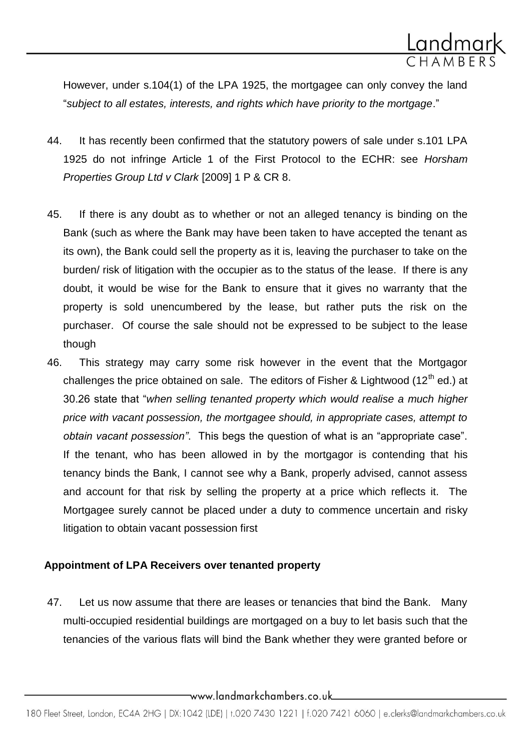

However, under s.104(1) of the LPA 1925, the mortgagee can only convey the land "*subject to all estates, interests, and rights which have priority to the mortgage*."

- 44. It has recently been confirmed that the statutory powers of sale under s.101 LPA 1925 do not infringe Article 1 of the First Protocol to the ECHR: see *Horsham Properties Group Ltd v Clark* [2009] 1 P & CR 8.
- 45. If there is any doubt as to whether or not an alleged tenancy is binding on the Bank (such as where the Bank may have been taken to have accepted the tenant as its own), the Bank could sell the property as it is, leaving the purchaser to take on the burden/ risk of litigation with the occupier as to the status of the lease. If there is any doubt, it would be wise for the Bank to ensure that it gives no warranty that the property is sold unencumbered by the lease, but rather puts the risk on the purchaser. Of course the sale should not be expressed to be subject to the lease though
- 46. This strategy may carry some risk however in the event that the Mortgagor challenges the price obtained on sale. The editors of Fisher & Lightwood  $(12<sup>th</sup>$  ed.) at 30.26 state that "*when selling tenanted property which would realise a much higher price with vacant possession, the mortgagee should, in appropriate cases, attempt to obtain vacant possession"*. This begs the question of what is an "appropriate case". If the tenant, who has been allowed in by the mortgagor is contending that his tenancy binds the Bank, I cannot see why a Bank, properly advised, cannot assess and account for that risk by selling the property at a price which reflects it. The Mortgagee surely cannot be placed under a duty to commence uncertain and risky litigation to obtain vacant possession first

### **Appointment of LPA Receivers over tenanted property**

47. Let us now assume that there are leases or tenancies that bind the Bank. Many multi-occupied residential buildings are mortgaged on a buy to let basis such that the tenancies of the various flats will bind the Bank whether they were granted before or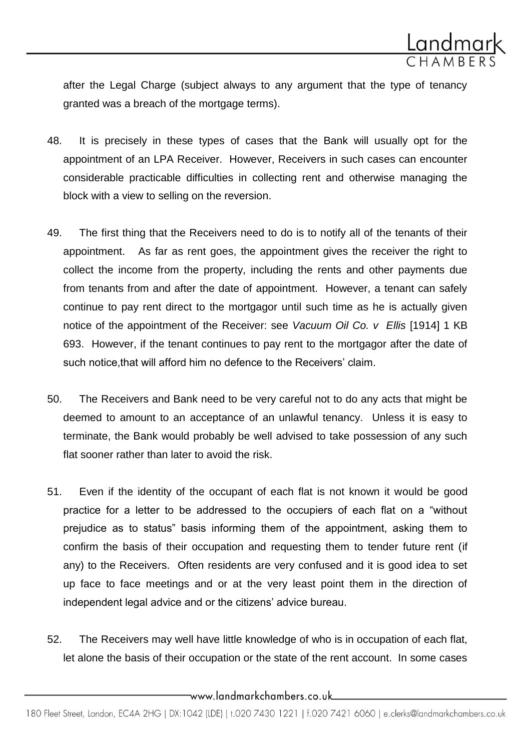

after the Legal Charge (subject always to any argument that the type of tenancy granted was a breach of the mortgage terms).

- 48. It is precisely in these types of cases that the Bank will usually opt for the appointment of an LPA Receiver. However, Receivers in such cases can encounter considerable practicable difficulties in collecting rent and otherwise managing the block with a view to selling on the reversion.
- 49. The first thing that the Receivers need to do is to notify all of the tenants of their appointment. As far as rent goes, the appointment gives the receiver the right to collect the income from the property, including the rents and other payments due from tenants from and after the date of appointment. However, a tenant can safely continue to pay rent direct to the mortgagor until such time as he is actually given notice of the appointment of the Receiver: see *Vacuum Oil Co. v Ellis* [1914] 1 KB 693. However, if the tenant continues to pay rent to the mortgagor after the date of such notice, that will afford him no defence to the Receivers' claim.
- 50. The Receivers and Bank need to be very careful not to do any acts that might be deemed to amount to an acceptance of an unlawful tenancy. Unless it is easy to terminate, the Bank would probably be well advised to take possession of any such flat sooner rather than later to avoid the risk.
- 51. Even if the identity of the occupant of each flat is not known it would be good practice for a letter to be addressed to the occupiers of each flat on a "without prejudice as to status" basis informing them of the appointment, asking them to confirm the basis of their occupation and requesting them to tender future rent (if any) to the Receivers. Often residents are very confused and it is good idea to set up face to face meetings and or at the very least point them in the direction of independent legal advice and or the citizens' advice bureau.
- 52. The Receivers may well have little knowledge of who is in occupation of each flat, let alone the basis of their occupation or the state of the rent account. In some cases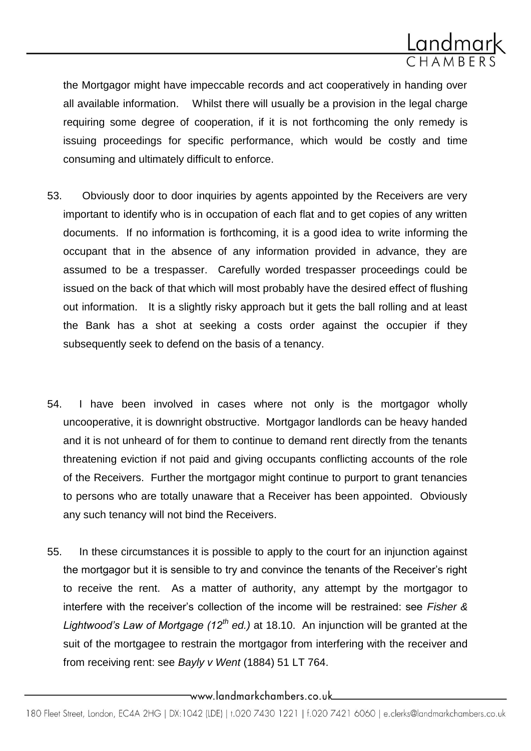

the Mortgagor might have impeccable records and act cooperatively in handing over all available information. Whilst there will usually be a provision in the legal charge requiring some degree of cooperation, if it is not forthcoming the only remedy is issuing proceedings for specific performance, which would be costly and time consuming and ultimately difficult to enforce.

- 53. Obviously door to door inquiries by agents appointed by the Receivers are very important to identify who is in occupation of each flat and to get copies of any written documents. If no information is forthcoming, it is a good idea to write informing the occupant that in the absence of any information provided in advance, they are assumed to be a trespasser. Carefully worded trespasser proceedings could be issued on the back of that which will most probably have the desired effect of flushing out information. It is a slightly risky approach but it gets the ball rolling and at least the Bank has a shot at seeking a costs order against the occupier if they subsequently seek to defend on the basis of a tenancy.
- 54. I have been involved in cases where not only is the mortgagor wholly uncooperative, it is downright obstructive. Mortgagor landlords can be heavy handed and it is not unheard of for them to continue to demand rent directly from the tenants threatening eviction if not paid and giving occupants conflicting accounts of the role of the Receivers. Further the mortgagor might continue to purport to grant tenancies to persons who are totally unaware that a Receiver has been appointed. Obviously any such tenancy will not bind the Receivers.
- 55. In these circumstances it is possible to apply to the court for an injunction against the mortgagor but it is sensible to try and convince the tenants of the Receiver's right to receive the rent. As a matter of authority, any attempt by the mortgagor to interfere with the receiver's collection of the income will be restrained: see *Fisher & Lightwood's Law of Mortgage (12th ed.)* at 18.10. An injunction will be granted at the suit of the mortgagee to restrain the mortgagor from interfering with the receiver and from receiving rent: see *Bayly v Went* (1884) 51 LT 764.